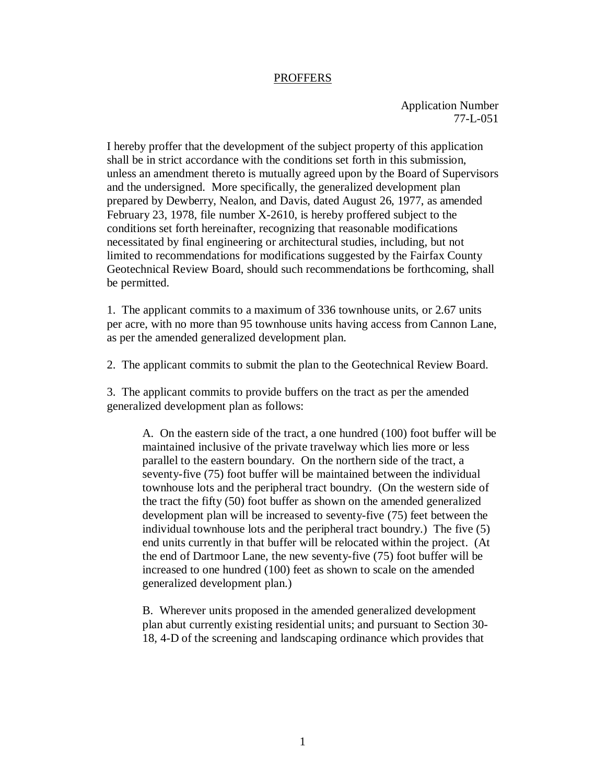## PROFFERS

Application Number 77-L-051

I hereby proffer that the development of the subject property of this application shall be in strict accordance with the conditions set forth in this submission, unless an amendment thereto is mutually agreed upon by the Board of Supervisors and the undersigned. More specifically, the generalized development plan prepared by Dewberry, Nealon, and Davis, dated August 26, 1977, as amended February 23, 1978, file number X-2610, is hereby proffered subject to the conditions set forth hereinafter, recognizing that reasonable modifications necessitated by final engineering or architectural studies, including, but not limited to recommendations for modifications suggested by the Fairfax County Geotechnical Review Board, should such recommendations be forthcoming, shall be permitted.

1. The applicant commits to a maximum of 336 townhouse units, or 2.67 units per acre, with no more than 95 townhouse units having access from Cannon Lane, as per the amended generalized development plan.

2. The applicant commits to submit the plan to the Geotechnical Review Board.

3. The applicant commits to provide buffers on the tract as per the amended generalized development plan as follows:

A. On the eastern side of the tract, a one hundred (100) foot buffer will be maintained inclusive of the private travelway which lies more or less parallel to the eastern boundary. On the northern side of the tract, a seventy-five (75) foot buffer will be maintained between the individual townhouse lots and the peripheral tract boundry. (On the western side of the tract the fifty (50) foot buffer as shown on the amended generalized development plan will be increased to seventy-five (75) feet between the individual townhouse lots and the peripheral tract boundry.) The five (5) end units currently in that buffer will be relocated within the project. (At the end of Dartmoor Lane, the new seventy-five (75) foot buffer will be increased to one hundred (100) feet as shown to scale on the amended generalized development plan.)

B. Wherever units proposed in the amended generalized development plan abut currently existing residential units; and pursuant to Section 30- 18, 4-D of the screening and landscaping ordinance which provides that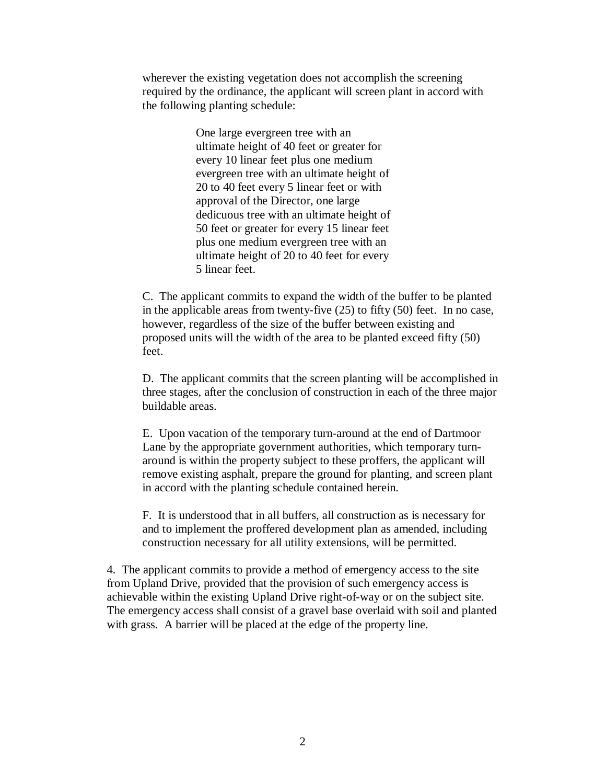wherever the existing vegetation does not accomplish the screening required by the ordinance, the applicant will screen plant in accord with the following planting schedule:

> One large evergreen tree with an ultimate height of 40 feet or greater for every 10 linear feet plus one medium evergreen tree with an ultimate height of 20 to 40 feet every 5 linear feet or with approval of the Director, one large dedicuous tree with an ultimate height of 50 feet or greater for every 15 linear feet plus one medium evergreen tree with an ultimate height of 20 to 40 feet for every 5 linear feet.

C. The applicant commits to expand the width of the buffer to be planted in the applicable areas from twenty-five (25) to fifty (50) feet. In no case, however, regardless of the size of the buffer between existing and proposed units will the width of the area to be planted exceed fifty (50) feet.

D. The applicant commits that the screen planting will be accomplished in three stages, after the conclusion of construction in each of the three major buildable areas.

E. Upon vacation of the temporary turn-around at the end of Dartmoor Lane by the appropriate government authorities, which temporary turnaround is within the property subject to these proffers, the applicant will remove existing asphalt, prepare the ground for planting, and screen plant in accord with the planting schedule contained herein.

F. It is understood that in all buffers, all construction as is necessary for and to implement the proffered development plan as amended, including construction necessary for all utility extensions, will be permitted.

4. The applicant commits to provide a method of emergency access to the site from Upland Drive, provided that the provision of such emergency access is achievable within the existing Upland Drive right-of-way or on the subject site. The emergency access shall consist of a gravel base overlaid with soil and planted with grass. A barrier will be placed at the edge of the property line.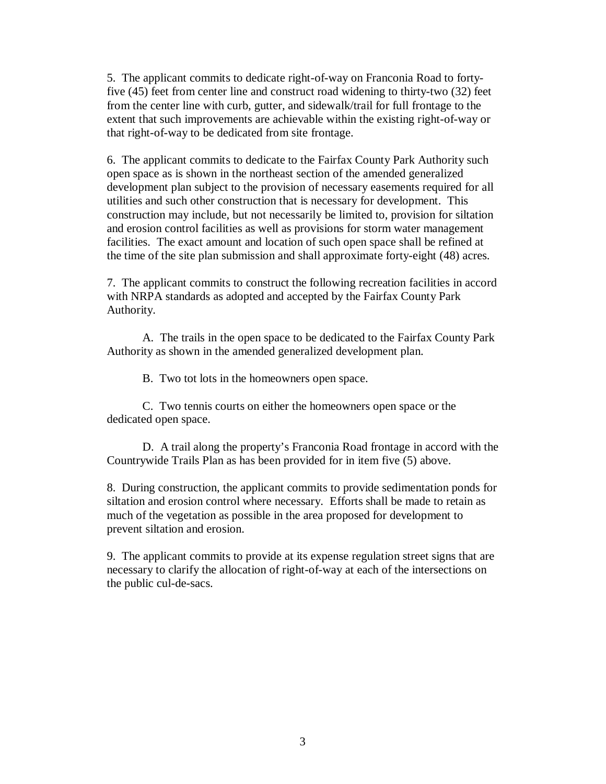5. The applicant commits to dedicate right-of-way on Franconia Road to fortyfive (45) feet from center line and construct road widening to thirty-two (32) feet from the center line with curb, gutter, and sidewalk/trail for full frontage to the extent that such improvements are achievable within the existing right-of-way or that right-of-way to be dedicated from site frontage.

6. The applicant commits to dedicate to the Fairfax County Park Authority such open space as is shown in the northeast section of the amended generalized development plan subject to the provision of necessary easements required for all utilities and such other construction that is necessary for development. This construction may include, but not necessarily be limited to, provision for siltation and erosion control facilities as well as provisions for storm water management facilities. The exact amount and location of such open space shall be refined at the time of the site plan submission and shall approximate forty-eight (48) acres.

7. The applicant commits to construct the following recreation facilities in accord with NRPA standards as adopted and accepted by the Fairfax County Park Authority.

 A. The trails in the open space to be dedicated to the Fairfax County Park Authority as shown in the amended generalized development plan.

B. Two tot lots in the homeowners open space.

 C. Two tennis courts on either the homeowners open space or the dedicated open space.

 D. A trail along the property's Franconia Road frontage in accord with the Countrywide Trails Plan as has been provided for in item five (5) above.

8. During construction, the applicant commits to provide sedimentation ponds for siltation and erosion control where necessary. Efforts shall be made to retain as much of the vegetation as possible in the area proposed for development to prevent siltation and erosion.

9. The applicant commits to provide at its expense regulation street signs that are necessary to clarify the allocation of right-of-way at each of the intersections on the public cul-de-sacs.